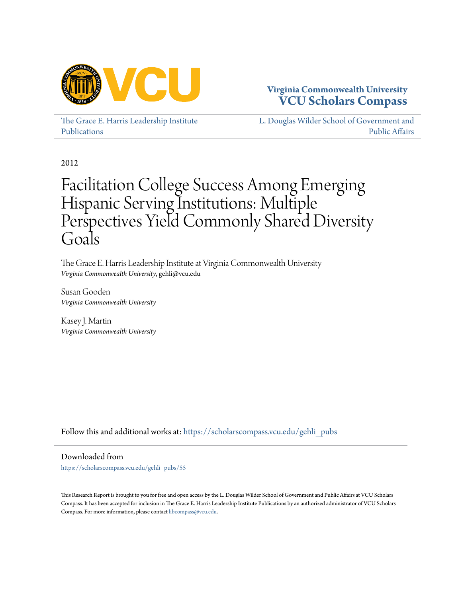

# **Virginia Commonwealth University [VCU Scholars Compass](https://scholarscompass.vcu.edu?utm_source=scholarscompass.vcu.edu%2Fgehli_pubs%2F55&utm_medium=PDF&utm_campaign=PDFCoverPages)**

[The Grace E. Harris Leadership Institute](https://scholarscompass.vcu.edu/gehli_pubs?utm_source=scholarscompass.vcu.edu%2Fgehli_pubs%2F55&utm_medium=PDF&utm_campaign=PDFCoverPages) [Publications](https://scholarscompass.vcu.edu/gehli_pubs?utm_source=scholarscompass.vcu.edu%2Fgehli_pubs%2F55&utm_medium=PDF&utm_campaign=PDFCoverPages)

[L. Douglas Wilder School of Government and](https://scholarscompass.vcu.edu/wilder?utm_source=scholarscompass.vcu.edu%2Fgehli_pubs%2F55&utm_medium=PDF&utm_campaign=PDFCoverPages) [Public Affairs](https://scholarscompass.vcu.edu/wilder?utm_source=scholarscompass.vcu.edu%2Fgehli_pubs%2F55&utm_medium=PDF&utm_campaign=PDFCoverPages)

2012

# Facilitation College Success Among Emerging Hispanic Serving Institutions: Multiple Perspectives Yield Commonly Shared Diversity Goals

The Grace E. Harris Leadership Institute at Virginia Commonwealth University *Virginia Commonwealth University*, gehli@vcu.edu

Susan Gooden *Virginia Commonwealth University*

Kasey J. Martin *Virginia Commonwealth University*

Follow this and additional works at: [https://scholarscompass.vcu.edu/gehli\\_pubs](https://scholarscompass.vcu.edu/gehli_pubs?utm_source=scholarscompass.vcu.edu%2Fgehli_pubs%2F55&utm_medium=PDF&utm_campaign=PDFCoverPages)

Downloaded from

[https://scholarscompass.vcu.edu/gehli\\_pubs/55](https://scholarscompass.vcu.edu/gehli_pubs/55?utm_source=scholarscompass.vcu.edu%2Fgehli_pubs%2F55&utm_medium=PDF&utm_campaign=PDFCoverPages)

This Research Report is brought to you for free and open access by the L. Douglas Wilder School of Government and Public Affairs at VCU Scholars Compass. It has been accepted for inclusion in The Grace E. Harris Leadership Institute Publications by an authorized administrator of VCU Scholars Compass. For more information, please contact [libcompass@vcu.edu](mailto:libcompass@vcu.edu).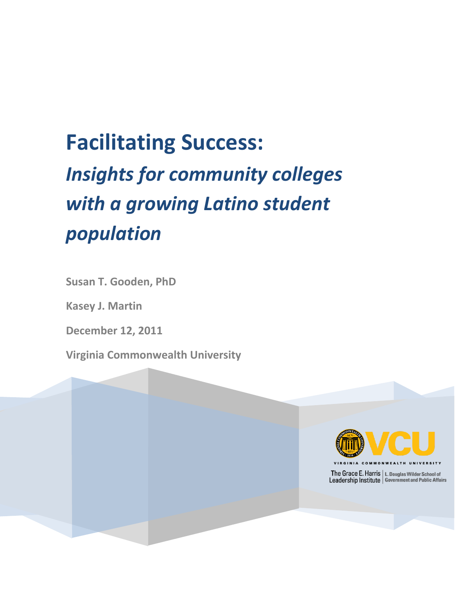# **Facilitating Success:** *Insights for community colleges with a growing Latino student population*

**Susan T. Gooden, PhD**

**Kasey J. Martin** 

**December 12, 2011**

**Virginia Commonwealth University** 

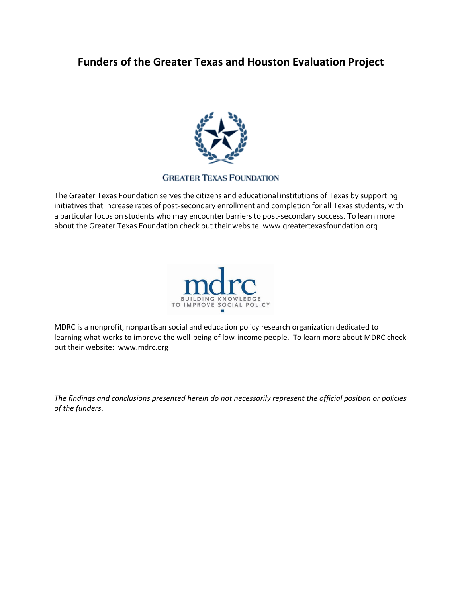# **Funders of the Greater Texas and Houston Evaluation Project**



#### **GREATER TEXAS FOUNDATION**

The Greater Texas Foundation serves the citizens and educational institutions of Texas by supporting initiatives that increase rates of post-secondary enrollment and completion for all Texas students, with a particular focus on students who may encounter barriers to post-secondary success. To learn more about the Greater Texas Foundation check out their website: www.greatertexasfoundation.org



MDRC is a nonprofit, nonpartisan social and education policy research organization dedicated to learning what works to improve the well-being of low-income people. To learn more about MDRC check out their website: www.mdrc.org

*The findings and conclusions presented herein do not necessarily represent the official position or policies of the funders*.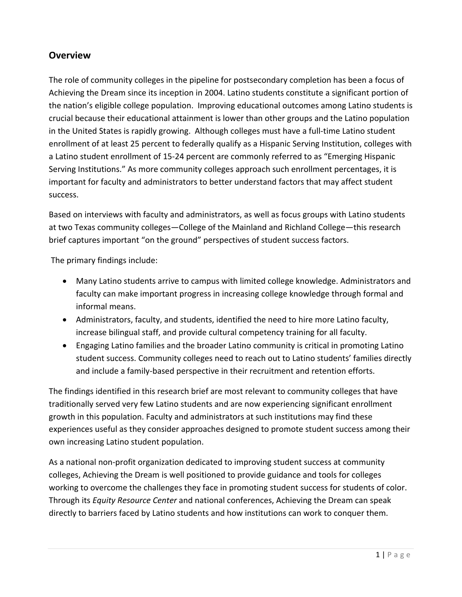# **Overview**

The role of community colleges in the pipeline for postsecondary completion has been a focus of Achieving the Dream since its inception in 2004. Latino students constitute a significant portion of the nation's eligible college population. Improving educational outcomes among Latino students is crucial because their educational attainment is lower than other groups and the Latino population in the United States is rapidly growing. Although colleges must have a full-time Latino student enrollment of at least 25 percent to federally qualify as a Hispanic Serving Institution, colleges with a Latino student enrollment of 15-24 percent are commonly referred to as "Emerging Hispanic Serving Institutions." As more community colleges approach such enrollment percentages, it is important for faculty and administrators to better understand factors that may affect student success.

Based on interviews with faculty and administrators, as well as focus groups with Latino students at two Texas community colleges—College of the Mainland and Richland College—this research brief captures important "on the ground" perspectives of student success factors.

The primary findings include:

- Many Latino students arrive to campus with limited college knowledge. Administrators and faculty can make important progress in increasing college knowledge through formal and informal means.
- Administrators, faculty, and students, identified the need to hire more Latino faculty, increase bilingual staff, and provide cultural competency training for all faculty.
- Engaging Latino families and the broader Latino community is critical in promoting Latino student success. Community colleges need to reach out to Latino students' families directly and include a family-based perspective in their recruitment and retention efforts.

The findings identified in this research brief are most relevant to community colleges that have traditionally served very few Latino students and are now experiencing significant enrollment growth in this population. Faculty and administrators at such institutions may find these experiences useful as they consider approaches designed to promote student success among their own increasing Latino student population.

As a national non-profit organization dedicated to improving student success at community colleges, Achieving the Dream is well positioned to provide guidance and tools for colleges working to overcome the challenges they face in promoting student success for students of color. Through its *Equity Resource Center* and national conferences, Achieving the Dream can speak directly to barriers faced by Latino students and how institutions can work to conquer them.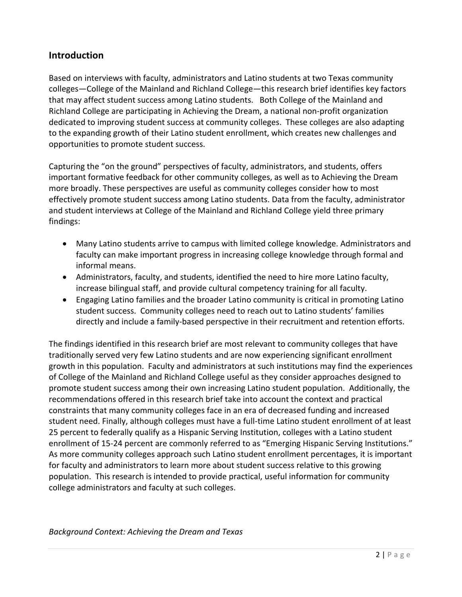# **Introduction**

Based on interviews with faculty, administrators and Latino students at two Texas community colleges—College of the Mainland and Richland College—this research brief identifies key factors that may affect student success among Latino students. Both College of the Mainland and Richland College are participating in Achieving the Dream, a national non-profit organization dedicated to improving student success at community colleges. These colleges are also adapting to the expanding growth of their Latino student enrollment, which creates new challenges and opportunities to promote student success.

Capturing the "on the ground" perspectives of faculty, administrators, and students, offers important formative feedback for other community colleges, as well as to Achieving the Dream more broadly. These perspectives are useful as community colleges consider how to most effectively promote student success among Latino students. Data from the faculty, administrator and student interviews at College of the Mainland and Richland College yield three primary findings:

- Many Latino students arrive to campus with limited college knowledge. Administrators and faculty can make important progress in increasing college knowledge through formal and informal means.
- Administrators, faculty, and students, identified the need to hire more Latino faculty, increase bilingual staff, and provide cultural competency training for all faculty.
- Engaging Latino families and the broader Latino community is critical in promoting Latino student success. Community colleges need to reach out to Latino students' families directly and include a family-based perspective in their recruitment and retention efforts.

The findings identified in this research brief are most relevant to community colleges that have traditionally served very few Latino students and are now experiencing significant enrollment growth in this population. Faculty and administrators at such institutions may find the experiences of College of the Mainland and Richland College useful as they consider approaches designed to promote student success among their own increasing Latino student population. Additionally, the recommendations offered in this research brief take into account the context and practical constraints that many community colleges face in an era of decreased funding and increased student need. Finally, although colleges must have a full-time Latino student enrollment of at least 25 percent to federally qualify as a Hispanic Serving Institution, colleges with a Latino student enrollment of 15-24 percent are commonly referred to as "Emerging Hispanic Serving Institutions." As more community colleges approach such Latino student enrollment percentages, it is important for faculty and administrators to learn more about student success relative to this growing population. This research is intended to provide practical, useful information for community college administrators and faculty at such colleges.

*Background Context: Achieving the Dream and Texas*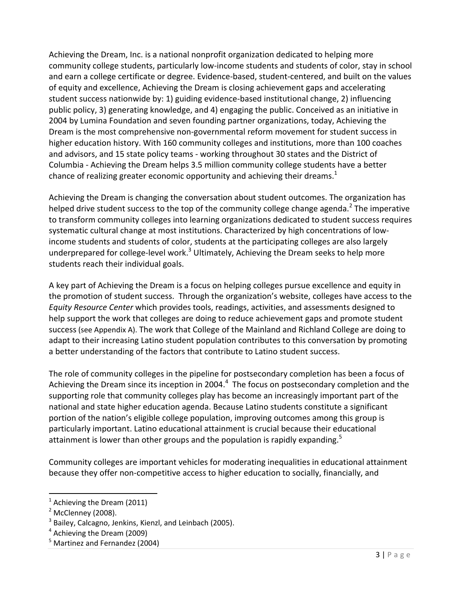Achieving the Dream, Inc. is a national nonprofit organization dedicated to helping more community college students, particularly low-income students and students of color, stay in school and earn a college certificate or degree. Evidence-based, student-centered, and built on the values of equity and excellence, Achieving the Dream is closing achievement gaps and accelerating student success nationwide by: 1) guiding evidence-based institutional change, 2) influencing public policy, 3) generating knowledge, and 4) engaging the public. Conceived as an initiative in 2004 by Lumina Foundation and seven founding partner organizations, today, Achieving the Dream is the most comprehensive non-governmental reform movement for student success in higher education history. With 160 community colleges and institutions, more than 100 coaches and advisors, and 15 state policy teams - working throughout 30 states and the District of Columbia - Achieving the Dream helps 3.5 million community college students have a better chance of realizing greater economic opportunity and achieving their dreams.<sup>1</sup>

Achieving the Dream is changing the conversation about student outcomes. The organization has helped drive student success to the top of the community college change agenda.<sup>2</sup> The imperative to transform community colleges into learning organizations dedicated to student success requires systematic cultural change at most institutions. Characterized by high concentrations of lowincome students and students of color, students at the participating colleges are also largely underprepared for college-level work.<sup>3</sup> Ultimately, Achieving the Dream seeks to help more students reach their individual goals.

A key part of Achieving the Dream is a focus on helping colleges pursue excellence and equity in the promotion of student success. Through the organization's website, colleges have access to the *Equity Resource Center* which provides tools, readings, activities, and assessments designed to help support the work that colleges are doing to reduce achievement gaps and promote student success (see Appendix A). The work that College of the Mainland and Richland College are doing to adapt to their increasing Latino student population contributes to this conversation by promoting a better understanding of the factors that contribute to Latino student success.

The role of community colleges in the pipeline for postsecondary completion has been a focus of Achieving the Dream since its inception in 2004.<sup>4</sup> The focus on postsecondary completion and the supporting role that community colleges play has become an increasingly important part of the national and state higher education agenda. Because Latino students constitute a significant portion of the nation's eligible college population, improving outcomes among this group is particularly important. Latino educational attainment is crucial because their educational attainment is lower than other groups and the population is rapidly expanding.<sup>5</sup>

Community colleges are important vehicles for moderating inequalities in educational attainment because they offer non-competitive access to higher education to socially, financially, and

 $\overline{a}$ 

 $<sup>1</sup>$  Achieving the Dream (2011)</sup>

 $<sup>2</sup>$  McClenney (2008).</sup>

<sup>&</sup>lt;sup>3</sup> Bailey, Calcagno, Jenkins, Kienzl, and Leinbach (2005).

<sup>&</sup>lt;sup>4</sup> Achieving the Dream (2009)

<sup>&</sup>lt;sup>5</sup> Martinez and Fernandez (2004)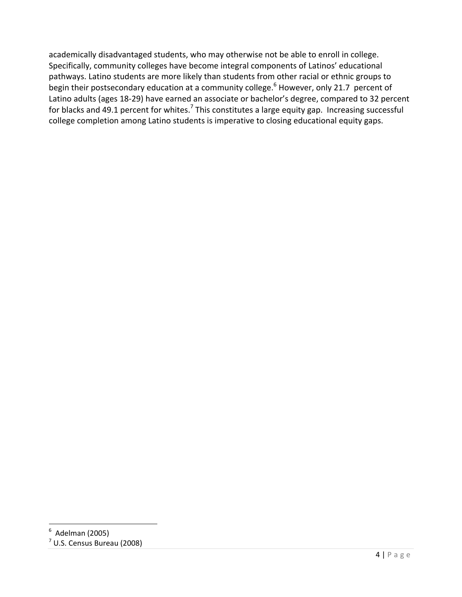academically disadvantaged students, who may otherwise not be able to enroll in college. Specifically, community colleges have become integral components of Latinos' educational pathways. Latino students are more likely than students from other racial or ethnic groups to begin their postsecondary education at a community college.<sup>6</sup> However, only 21.7 percent of Latino adults (ages 18-29) have earned an associate or bachelor's degree, compared to 32 percent for blacks and 49.1 percent for whites.<sup>7</sup> This constitutes a large equity gap. Increasing successful college completion among Latino students is imperative to closing educational equity gaps.

 6 Adelman (2005)

<sup>7</sup> U.S. Census Bureau (2008)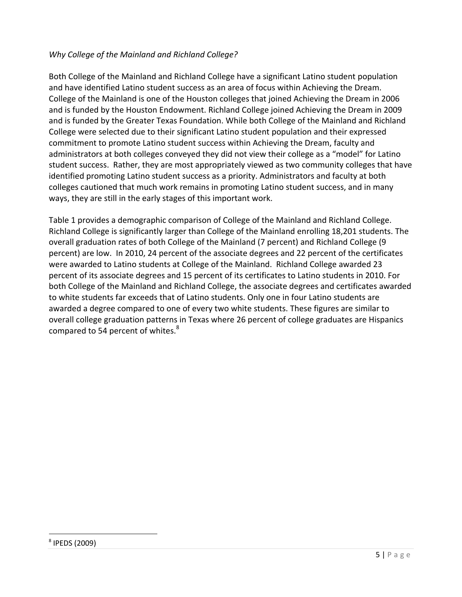#### *Why College of the Mainland and Richland College?*

Both College of the Mainland and Richland College have a significant Latino student population and have identified Latino student success as an area of focus within Achieving the Dream. College of the Mainland is one of the Houston colleges that joined Achieving the Dream in 2006 and is funded by the Houston Endowment. Richland College joined Achieving the Dream in 2009 and is funded by the Greater Texas Foundation. While both College of the Mainland and Richland College were selected due to their significant Latino student population and their expressed commitment to promote Latino student success within Achieving the Dream, faculty and administrators at both colleges conveyed they did not view their college as a "model" for Latino student success. Rather, they are most appropriately viewed as two community colleges that have identified promoting Latino student success as a priority. Administrators and faculty at both colleges cautioned that much work remains in promoting Latino student success, and in many ways, they are still in the early stages of this important work.

Table 1 provides a demographic comparison of College of the Mainland and Richland College. Richland College is significantly larger than College of the Mainland enrolling 18,201 students. The overall graduation rates of both College of the Mainland (7 percent) and Richland College (9 percent) are low. In 2010, 24 percent of the associate degrees and 22 percent of the certificates were awarded to Latino students at College of the Mainland. Richland College awarded 23 percent of its associate degrees and 15 percent of its certificates to Latino students in 2010. For both College of the Mainland and Richland College, the associate degrees and certificates awarded to white students far exceeds that of Latino students. Only one in four Latino students are awarded a degree compared to one of every two white students. These figures are similar to overall college graduation patterns in Texas where 26 percent of college graduates are Hispanics compared to 54 percent of whites.<sup>8</sup>

 $\overline{a}$ 

<sup>8</sup> IPEDS (2009)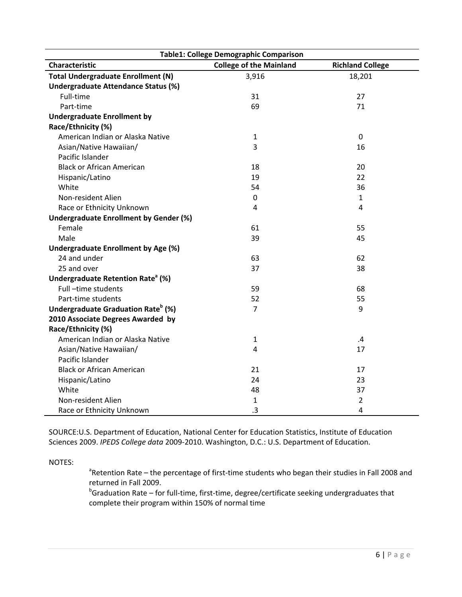| <b>Table1: College Demographic Comparison</b>  |                                |                         |
|------------------------------------------------|--------------------------------|-------------------------|
| Characteristic                                 | <b>College of the Mainland</b> | <b>Richland College</b> |
| <b>Total Undergraduate Enrollment (N)</b>      | 3,916                          | 18,201                  |
| Undergraduate Attendance Status (%)            |                                |                         |
| Full-time                                      | 31                             | 27                      |
| Part-time                                      | 69                             | 71                      |
| <b>Undergraduate Enrollment by</b>             |                                |                         |
| Race/Ethnicity (%)                             |                                |                         |
| American Indian or Alaska Native               | $\mathbf{1}$                   | $\mathbf 0$             |
| Asian/Native Hawaiian/                         | 3                              | 16                      |
| Pacific Islander                               |                                |                         |
| <b>Black or African American</b>               | 18                             | 20                      |
| Hispanic/Latino                                | 19                             | 22                      |
| White                                          | 54                             | 36                      |
| Non-resident Alien                             | 0                              | $\mathbf{1}$            |
| Race or Ethnicity Unknown                      | 4                              | 4                       |
| <b>Undergraduate Enrollment by Gender (%)</b>  |                                |                         |
| Female                                         | 61                             | 55                      |
| Male                                           | 39                             | 45                      |
| <b>Undergraduate Enrollment by Age (%)</b>     |                                |                         |
| 24 and under                                   | 63                             | 62                      |
| 25 and over                                    | 37                             | 38                      |
| Undergraduate Retention Rate <sup>a</sup> (%)  |                                |                         |
| Full-time students                             | 59                             | 68                      |
| Part-time students                             | 52                             | 55                      |
| Undergraduate Graduation Rate <sup>b</sup> (%) | $\overline{7}$                 | 9                       |
| 2010 Associate Degrees Awarded by              |                                |                         |
| Race/Ethnicity (%)                             |                                |                         |
| American Indian or Alaska Native               | $\mathbf{1}$                   | $\mathbf{.4}$           |
| Asian/Native Hawaiian/                         | 4                              | 17                      |
| Pacific Islander                               |                                |                         |
| <b>Black or African American</b>               | 21                             | 17                      |
| Hispanic/Latino                                | 24                             | 23                      |
| White                                          | 48                             | 37                      |
| Non-resident Alien                             | $\mathbf{1}$                   | $\overline{2}$          |
| Race or Ethnicity Unknown                      | .3                             | 4                       |

SOURCE:U.S. Department of Education, National Center for Education Statistics, Institute of Education Sciences 2009. *IPEDS College data* 2009-2010. Washington, D.C.: U.S. Department of Education.

NOTES:

<sup>a</sup>Retention Rate – the percentage of first-time students who began their studies in Fall 2008 and returned in Fall 2009.

 $b$ Graduation Rate – for full-time, first-time, degree/certificate seeking undergraduates that complete their program within 150% of normal time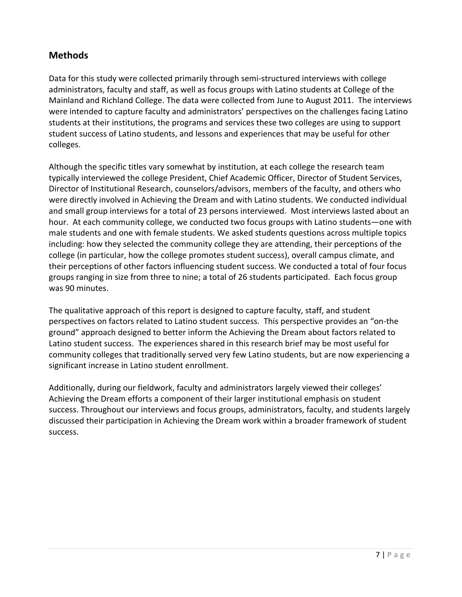# **Methods**

Data for this study were collected primarily through semi-structured interviews with college administrators, faculty and staff, as well as focus groups with Latino students at College of the Mainland and Richland College. The data were collected from June to August 2011. The interviews were intended to capture faculty and administrators' perspectives on the challenges facing Latino students at their institutions, the programs and services these two colleges are using to support student success of Latino students, and lessons and experiences that may be useful for other colleges.

Although the specific titles vary somewhat by institution, at each college the research team typically interviewed the college President, Chief Academic Officer, Director of Student Services, Director of Institutional Research, counselors/advisors, members of the faculty, and others who were directly involved in Achieving the Dream and with Latino students. We conducted individual and small group interviews for a total of 23 persons interviewed. Most interviews lasted about an hour. At each community college, we conducted two focus groups with Latino students—one with male students and one with female students. We asked students questions across multiple topics including: how they selected the community college they are attending, their perceptions of the college (in particular, how the college promotes student success), overall campus climate, and their perceptions of other factors influencing student success. We conducted a total of four focus groups ranging in size from three to nine; a total of 26 students participated. Each focus group was 90 minutes.

The qualitative approach of this report is designed to capture faculty, staff, and student perspectives on factors related to Latino student success. This perspective provides an "on-the ground" approach designed to better inform the Achieving the Dream about factors related to Latino student success. The experiences shared in this research brief may be most useful for community colleges that traditionally served very few Latino students, but are now experiencing a significant increase in Latino student enrollment.

Additionally, during our fieldwork, faculty and administrators largely viewed their colleges' Achieving the Dream efforts a component of their larger institutional emphasis on student success. Throughout our interviews and focus groups, administrators, faculty, and students largely discussed their participation in Achieving the Dream work within a broader framework of student success.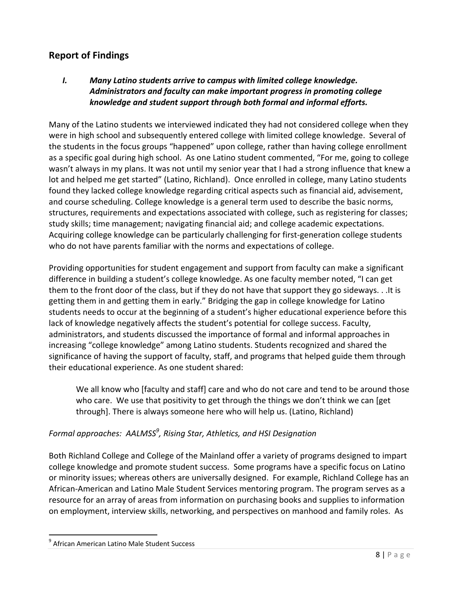# **Report of Findings**

*I. Many Latino students arrive to campus with limited college knowledge. Administrators and faculty can make important progress in promoting college knowledge and student support through both formal and informal efforts.*

Many of the Latino students we interviewed indicated they had not considered college when they were in high school and subsequently entered college with limited college knowledge.Several of the students in the focus groups "happened" upon college, rather than having college enrollment as a specific goal during high school. As one Latino student commented, "For me, going to college wasn't always in my plans. It was not until my senior year that I had a strong influence that knew a lot and helped me get started" (Latino, Richland). Once enrolled in college, many Latino students found they lacked college knowledge regarding critical aspects such as financial aid, advisement, and course scheduling. College knowledge is a general term used to describe the basic norms, structures, requirements and expectations associated with college, such as registering for classes; study skills; time management; navigating financial aid; and college academic expectations. Acquiring college knowledge can be particularly challenging for first-generation college students who do not have parents familiar with the norms and expectations of college.

Providing opportunities for student engagement and support from faculty can make a significant difference in building a student's college knowledge. As one faculty member noted, "I can get them to the front door of the class, but if they do not have that support they go sideways. . .It is getting them in and getting them in early." Bridging the gap in college knowledge for Latino students needs to occur at the beginning of a student's higher educational experience before this lack of knowledge negatively affects the student's potential for college success. Faculty, administrators, and students discussed the importance of formal and informal approaches in increasing "college knowledge" among Latino students. Students recognized and shared the significance of having the support of faculty, staff, and programs that helped guide them through their educational experience. As one student shared:

We all know who [faculty and staff] care and who do not care and tend to be around those who care. We use that positivity to get through the things we don't think we can [get through]. There is always someone here who will help us. (Latino, Richland)

#### *Formal approaches: AALMSS<sup>9</sup> , Rising Star, Athletics, and HSI Designation*

Both Richland College and College of the Mainland offer a variety of programs designed to impart college knowledge and promote student success. Some programs have a specific focus on Latino or minority issues; whereas others are universally designed. For example, Richland College has an African-American and Latino Male Student Services mentoring program. The program serves as a resource for an array of areas from information on purchasing books and supplies to information on employment, interview skills, networking, and perspectives on manhood and family roles. As

 $\ddot{\phantom{a}}$ 

<sup>&</sup>lt;sup>9</sup> African American Latino Male Student Success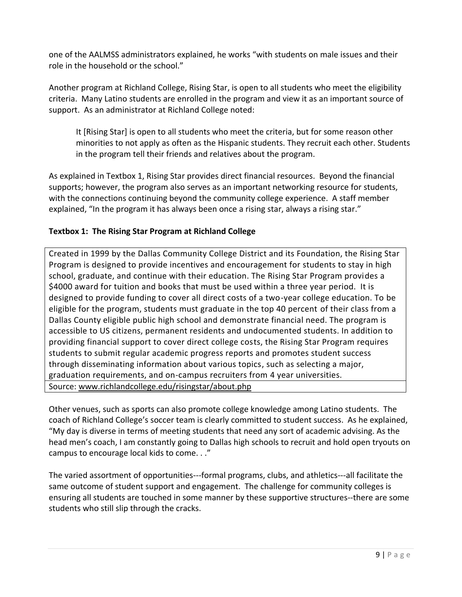one of the AALMSS administrators explained, he works "with students on male issues and their role in the household or the school."

Another program at Richland College, Rising Star, is open to all students who meet the eligibility criteria. Many Latino students are enrolled in the program and view it as an important source of support. As an administrator at Richland College noted:

It [Rising Star] is open to all students who meet the criteria, but for some reason other minorities to not apply as often as the Hispanic students. They recruit each other. Students in the program tell their friends and relatives about the program.

As explained in Textbox 1, Rising Star provides direct financial resources. Beyond the financial supports; however, the program also serves as an important networking resource for students, with the connections continuing beyond the community college experience. A staff member explained, "In the program it has always been once a rising star, always a rising star."

#### **Textbox 1: The Rising Star Program at Richland College**

Created in 1999 by the Dallas Community College District and its Foundation, the Rising Star Program is designed to provide incentives and encouragement for students to stay in high school, graduate, and continue with their education. The Rising Star Program provides a \$4000 award for tuition and books that must be used within a three year period. It is designed to provide funding to cover all direct costs of a two-year college education. To be eligible for the program, students must graduate in the top 40 percent of their class from a Dallas County eligible public high school and demonstrate financial need. The program is accessible to US citizens, permanent residents and undocumented students. In addition to providing financial support to cover direct college costs, the Rising Star Program requires students to submit regular academic progress reports and promotes student success through disseminating information about various topics, such as selecting a major, graduation requirements, and on-campus recruiters from 4 year universities. Source: [www.richlandcollege.edu/risingstar/about.php](http://www.richlandcollege.edu/risingstar/about.php) 

Other venues, such as sports can also promote college knowledge among Latino students. The coach of Richland College's soccer team is clearly committed to student success. As he explained, "My day is diverse in terms of meeting students that need any sort of academic advising. As the head men's coach, I am constantly going to Dallas high schools to recruit and hold open tryouts on campus to encourage local kids to come. . ."

The varied assortment of opportunities---formal programs, clubs, and athletics---all facilitate the same outcome of student support and engagement. The challenge for community colleges is ensuring all students are touched in some manner by these supportive structures--there are some students who still slip through the cracks.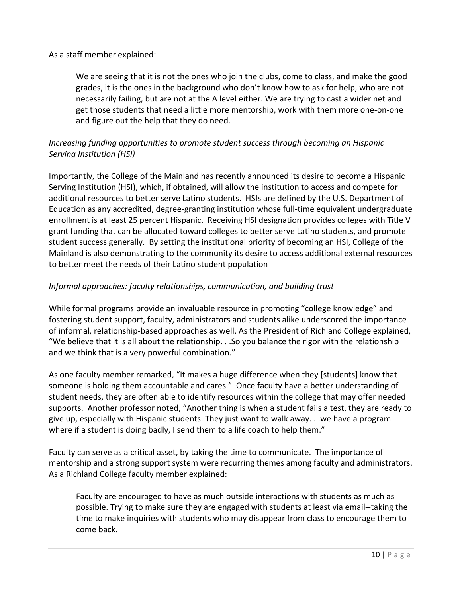As a staff member explained:

We are seeing that it is not the ones who join the clubs, come to class, and make the good grades, it is the ones in the background who don't know how to ask for help, who are not necessarily failing, but are not at the A level either. We are trying to cast a wider net and get those students that need a little more mentorship, work with them more one-on-one and figure out the help that they do need.

#### *Increasing funding opportunities to promote student success through becoming an Hispanic Serving Institution (HSI)*

Importantly, the College of the Mainland has recently announced its desire to become a Hispanic Serving Institution (HSI), which, if obtained, will allow the institution to access and compete for additional resources to better serve Latino students. HSIs are defined by the U.S. Department of Education as any accredited, degree-granting institution whose full-time equivalent undergraduate enrollment is at least 25 percent Hispanic. Receiving HSI designation provides colleges with Title V grant funding that can be allocated toward colleges to better serve Latino students, and promote student success generally. By setting the institutional priority of becoming an HSI, College of the Mainland is also demonstrating to the community its desire to access additional external resources to better meet the needs of their Latino student population

#### *Informal approaches: faculty relationships, communication, and building trust*

While formal programs provide an invaluable resource in promoting "college knowledge" and fostering student support, faculty, administrators and students alike underscored the importance of informal, relationship-based approaches as well. As the President of Richland College explained, "We believe that it is all about the relationship. . .So you balance the rigor with the relationship and we think that is a very powerful combination."

As one faculty member remarked, "It makes a huge difference when they [students] know that someone is holding them accountable and cares." Once faculty have a better understanding of student needs, they are often able to identify resources within the college that may offer needed supports. Another professor noted, "Another thing is when a student fails a test, they are ready to give up, especially with Hispanic students. They just want to walk away. . .we have a program where if a student is doing badly, I send them to a life coach to help them."

Faculty can serve as a critical asset, by taking the time to communicate. The importance of mentorship and a strong support system were recurring themes among faculty and administrators. As a Richland College faculty member explained:

Faculty are encouraged to have as much outside interactions with students as much as possible. Trying to make sure they are engaged with students at least via email--taking the time to make inquiries with students who may disappear from class to encourage them to come back.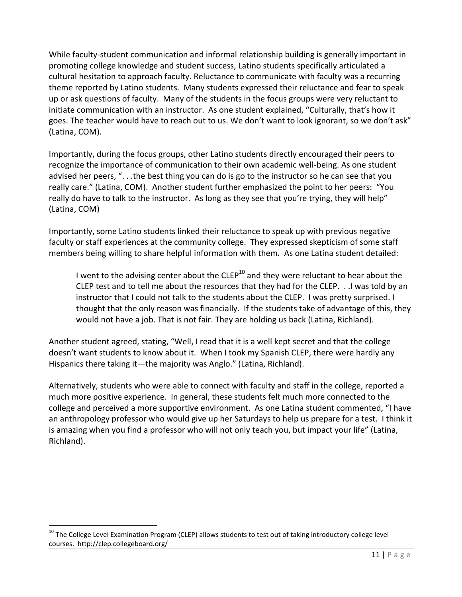While faculty-student communication and informal relationship building is generally important in promoting college knowledge and student success, Latino students specifically articulated a cultural hesitation to approach faculty. Reluctance to communicate with faculty was a recurring theme reported by Latino students. Many students expressed their reluctance and fear to speak up or ask questions of faculty. Many of the students in the focus groups were very reluctant to initiate communication with an instructor. As one student explained, "Culturally, that's how it goes. The teacher would have to reach out to us. We don't want to look ignorant, so we don't ask" (Latina, COM).

Importantly, during the focus groups, other Latino students directly encouraged their peers to recognize the importance of communication to their own academic well-being. As one student advised her peers, ". . .the best thing you can do is go to the instructor so he can see that you really care." (Latina, COM). Another student further emphasized the point to her peers: "You really do have to talk to the instructor. As long as they see that you're trying, they will help" (Latina, COM)

Importantly, some Latino students linked their reluctance to speak up with previous negative faculty or staff experiences at the community college. They expressed skepticism of some staff members being willing to share helpful information with them*.* As one Latina student detailed:

I went to the advising center about the  $CLEP^{10}$  and they were reluctant to hear about the CLEP test and to tell me about the resources that they had for the CLEP. . .I was told by an instructor that I could not talk to the students about the CLEP. I was pretty surprised. I thought that the only reason was financially. If the students take of advantage of this, they would not have a job. That is not fair. They are holding us back (Latina, Richland).

Another student agreed, stating, "Well, I read that it is a well kept secret and that the college doesn't want students to know about it. When I took my Spanish CLEP, there were hardly any Hispanics there taking it—the majority was Anglo." (Latina, Richland).

Alternatively, students who were able to connect with faculty and staff in the college, reported a much more positive experience. In general, these students felt much more connected to the college and perceived a more supportive environment. As one Latina student commented, "I have an anthropology professor who would give up her Saturdays to help us prepare for a test. I think it is amazing when you find a professor who will not only teach you, but impact your life" (Latina, Richland).

 $\overline{a}$ 

<sup>&</sup>lt;sup>10</sup> The College Level Examination Program (CLEP) allows students to test out of taking introductory college level courses. http://clep.collegeboard.org/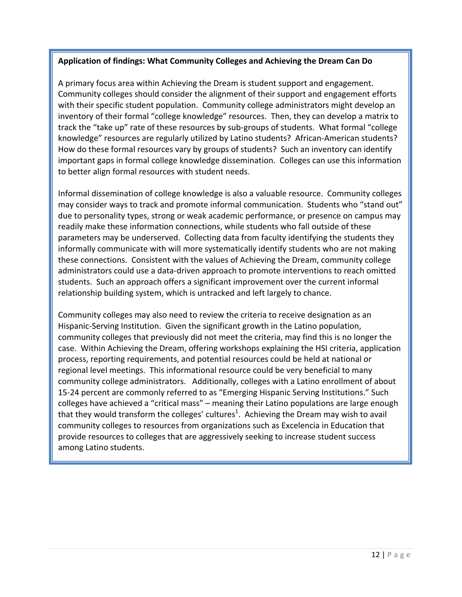#### **Application of findings: What Community Colleges and Achieving the Dream Can Do**

A primary focus area within Achieving the Dream is student support and engagement. Community colleges should consider the alignment of their support and engagement efforts with their specific student population. Community college administrators might develop an inventory of their formal "college knowledge" resources. Then, they can develop a matrix to track the "take up" rate of these resources by sub-groups of students. What formal "college knowledge" resources are regularly utilized by Latino students? African-American students? How do these formal resources vary by groups of students? Such an inventory can identify important gaps in formal college knowledge dissemination. Colleges can use this information to better align formal resources with student needs.

Informal dissemination of college knowledge is also a valuable resource. Community colleges may consider ways to track and promote informal communication. Students who "stand out" due to personality types, strong or weak academic performance, or presence on campus may readily make these information connections, while students who fall outside of these parameters may be underserved. Collecting data from faculty identifying the students they informally communicate with will more systematically identify students who are not making these connections. Consistent with the values of Achieving the Dream, community college administrators could use a data-driven approach to promote interventions to reach omitted students. Such an approach offers a significant improvement over the current informal relationship building system, which is untracked and left largely to chance.

Community colleges may also need to review the criteria to receive designation as an Hispanic-Serving Institution. Given the significant growth in the Latino population, community colleges that previously did not meet the criteria, may find this is no longer the case. Within Achieving the Dream, offering workshops explaining the HSI criteria, application process, reporting requirements, and potential resources could be held at national or regional level meetings. This informational resource could be very beneficial to many community college administrators. Additionally, colleges with a Latino enrollment of about 15-24 percent are commonly referred to as "Emerging Hispanic Serving Institutions." Such colleges have achieved a "critical mass" – meaning their Latino populations are large enough that they would transform the colleges' cultures<sup>1</sup>. Achieving the Dream may wish to avail community colleges to resources from organizations such as Excelencia in Education that provide resources to colleges that are aggressively seeking to increase student success among Latino students.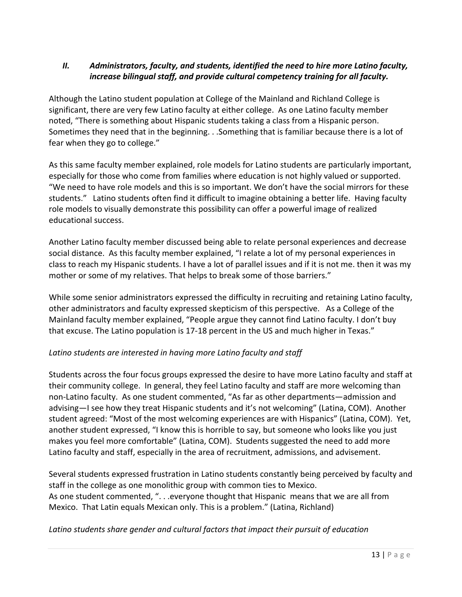#### *II. Administrators, faculty, and students, identified the need to hire more Latino faculty, increase bilingual staff, and provide cultural competency training for all faculty.*

Although the Latino student population at College of the Mainland and Richland College is significant, there are very few Latino faculty at either college. As one Latino faculty member noted, "There is something about Hispanic students taking a class from a Hispanic person. Sometimes they need that in the beginning. . .Something that is familiar because there is a lot of fear when they go to college."

As this same faculty member explained, role models for Latino students are particularly important, especially for those who come from families where education is not highly valued or supported. "We need to have role models and this is so important. We don't have the social mirrors for these students." Latino students often find it difficult to imagine obtaining a better life. Having faculty role models to visually demonstrate this possibility can offer a powerful image of realized educational success.

Another Latino faculty member discussed being able to relate personal experiences and decrease social distance. As this faculty member explained, "I relate a lot of my personal experiences in class to reach my Hispanic students. I have a lot of parallel issues and if it is not me. then it was my mother or some of my relatives. That helps to break some of those barriers."

While some senior administrators expressed the difficulty in recruiting and retaining Latino faculty, other administrators and faculty expressed skepticism of this perspective. As a College of the Mainland faculty member explained, "People argue they cannot find Latino faculty. I don't buy that excuse. The Latino population is 17-18 percent in the US and much higher in Texas."

#### *Latino students are interested in having more Latino faculty and staff*

Students across the four focus groups expressed the desire to have more Latino faculty and staff at their community college. In general, they feel Latino faculty and staff are more welcoming than non-Latino faculty. As one student commented, "As far as other departments—admission and advising—I see how they treat Hispanic students and it's not welcoming" (Latina, COM). Another student agreed: "Most of the most welcoming experiences are with Hispanics" (Latina, COM). Yet, another student expressed, "I know this is horrible to say, but someone who looks like you just makes you feel more comfortable" (Latina, COM). Students suggested the need to add more Latino faculty and staff, especially in the area of recruitment, admissions, and advisement.

Several students expressed frustration in Latino students constantly being perceived by faculty and staff in the college as one monolithic group with common ties to Mexico. As one student commented, ". . . everyone thought that Hispanic means that we are all from Mexico. That Latin equals Mexican only. This is a problem." (Latina, Richland)

#### *Latino students share gender and cultural factors that impact their pursuit of education*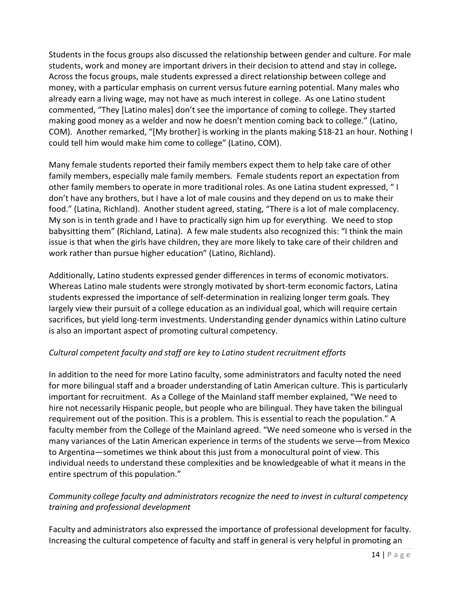Students in the focus groups also discussed the relationship between gender and culture. For male students, work and money are important drivers in their decision to attend and stay in college*.* Across the focus groups, male students expressed a direct relationship between college and money, with a particular emphasis on current versus future earning potential. Many males who already earn a living wage, may not have as much interest in college. As one Latino student commented, "They [Latino males] don't see the importance of coming to college. They started making good money as a welder and now he doesn't mention coming back to college." (Latino, COM). Another remarked, "[My brother] is working in the plants making \$18-21 an hour. Nothing I could tell him would make him come to college" (Latino, COM).

Many female students reported their family members expect them to help take care of other family members, especially male family members.Female students report an expectation from other family members to operate in more traditional roles. As one Latina student expressed, " I don't have any brothers, but I have a lot of male cousins and they depend on us to make their food." (Latina, Richland). Another student agreed, stating, "There is a lot of male complacency. My son is in tenth grade and I have to practically sign him up for everything. We need to stop babysitting them" (Richland, Latina). A few male students also recognized this: "I think the main issue is that when the girls have children, they are more likely to take care of their children and work rather than pursue higher education" (Latino, Richland).

Additionally, Latino students expressed gender differences in terms of economic motivators. Whereas Latino male students were strongly motivated by short-term economic factors, Latina students expressed the importance of self-determination in realizing longer term goals*.* They largely view their pursuit of a college education as an individual goal, which will require certain sacrifices, but yield long-term investments. Understanding gender dynamics within Latino culture is also an important aspect of promoting cultural competency.

#### *Cultural competent faculty and staff are key to Latino student recruitment efforts*

In addition to the need for more Latino faculty, some administrators and faculty noted the need for more bilingual staff and a broader understanding of Latin American culture. This is particularly important for recruitment. As a College of the Mainland staff member explained, "We need to hire not necessarily Hispanic people, but people who are bilingual. They have taken the bilingual requirement out of the position. This is a problem. This is essential to reach the population." A faculty member from the College of the Mainland agreed. "We need someone who is versed in the many variances of the Latin American experience in terms of the students we serve—from Mexico to Argentina—sometimes we think about this just from a monocultural point of view. This individual needs to understand these complexities and be knowledgeable of what it means in the entire spectrum of this population."

#### *Community college faculty and administrators recognize the need to invest in cultural competency training and professional development*

Faculty and administrators also expressed the importance of professional development for faculty. Increasing the cultural competence of faculty and staff in general is very helpful in promoting an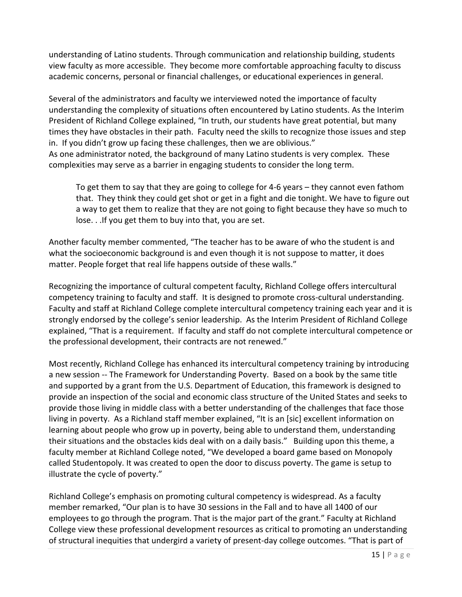understanding of Latino students. Through communication and relationship building, students view faculty as more accessible. They become more comfortable approaching faculty to discuss academic concerns, personal or financial challenges, or educational experiences in general.

Several of the administrators and faculty we interviewed noted the importance of faculty understanding the complexity of situations often encountered by Latino students. As the Interim President of Richland College explained, "In truth, our students have great potential, but many times they have obstacles in their path. Faculty need the skills to recognize those issues and step in. If you didn't grow up facing these challenges, then we are oblivious." As one administrator noted, the background of many Latino students is very complex. These

complexities may serve as a barrier in engaging students to consider the long term.

To get them to say that they are going to college for 4-6 years – they cannot even fathom that. They think they could get shot or get in a fight and die tonight. We have to figure out a way to get them to realize that they are not going to fight because they have so much to lose. . .If you get them to buy into that, you are set.

Another faculty member commented, "The teacher has to be aware of who the student is and what the socioeconomic background is and even though it is not suppose to matter, it does matter. People forget that real life happens outside of these walls."

Recognizing the importance of cultural competent faculty, Richland College offers intercultural competency training to faculty and staff. It is designed to promote cross-cultural understanding. Faculty and staff at Richland College complete intercultural competency training each year and it is strongly endorsed by the college's senior leadership. As the Interim President of Richland College explained, "That is a requirement. If faculty and staff do not complete intercultural competence or the professional development, their contracts are not renewed."

Most recently, Richland College has enhanced its intercultural competency training by introducing a new session -- The Framework for Understanding Poverty. Based on a book by the same title and supported by a grant from the U.S. Department of Education, this framework is designed to provide an inspection of the social and economic class structure of the United States and seeks to provide those living in middle class with a better understanding of the challenges that face those living in poverty. As a Richland staff member explained, "It is an [sic] excellent information on learning about people who grow up in poverty, being able to understand them, understanding their situations and the obstacles kids deal with on a daily basis." Building upon this theme, a faculty member at Richland College noted, "We developed a board game based on Monopoly called Studentopoly. It was created to open the door to discuss poverty. The game is setup to illustrate the cycle of poverty."

Richland College's emphasis on promoting cultural competency is widespread. As a faculty member remarked, "Our plan is to have 30 sessions in the Fall and to have all 1400 of our employees to go through the program. That is the major part of the grant." Faculty at Richland College view these professional development resources as critical to promoting an understanding of structural inequities that undergird a variety of present-day college outcomes. "That is part of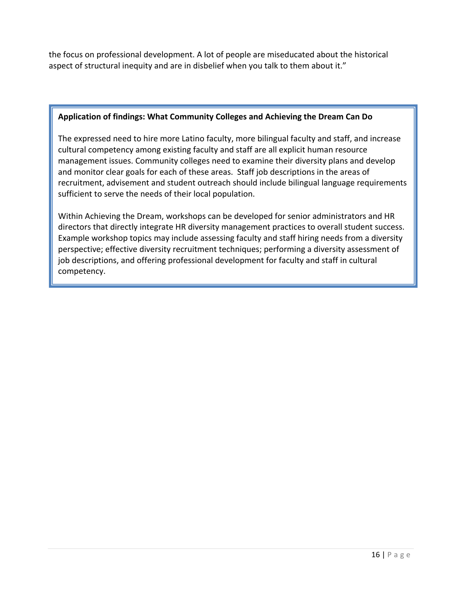the focus on professional development. A lot of people are miseducated about the historical aspect of structural inequity and are in disbelief when you talk to them about it."

#### **Application of findings: What Community Colleges and Achieving the Dream Can Do**

The expressed need to hire more Latino faculty, more bilingual faculty and staff, and increase cultural competency among existing faculty and staff are all explicit human resource management issues. Community colleges need to examine their diversity plans and develop and monitor clear goals for each of these areas. Staff job descriptions in the areas of recruitment, advisement and student outreach should include bilingual language requirements sufficient to serve the needs of their local population.

Within Achieving the Dream, workshops can be developed for senior administrators and HR directors that directly integrate HR diversity management practices to overall student success. Example workshop topics may include assessing faculty and staff hiring needs from a diversity perspective; effective diversity recruitment techniques; performing a diversity assessment of job descriptions, and offering professional development for faculty and staff in cultural competency.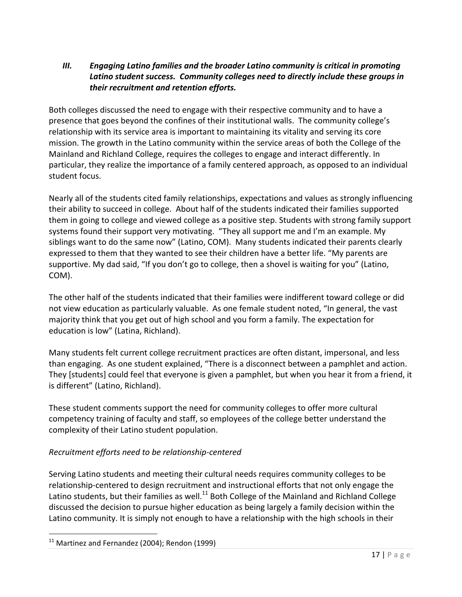#### *III. Engaging Latino families and the broader Latino community is critical in promoting Latino student success. Community colleges need to directly include these groups in their recruitment and retention efforts.*

Both colleges discussed the need to engage with their respective community and to have a presence that goes beyond the confines of their institutional walls. The community college's relationship with its service area is important to maintaining its vitality and serving its core mission. The growth in the Latino community within the service areas of both the College of the Mainland and Richland College, requires the colleges to engage and interact differently. In particular, they realize the importance of a family centered approach, as opposed to an individual student focus.

Nearly all of the students cited family relationships, expectations and values as strongly influencing their ability to succeed in college. About half of the students indicated their families supported them in going to college and viewed college as a positive step. Students with strong family support systems found their support very motivating. "They all support me and I'm an example. My siblings want to do the same now" (Latino, COM). Many students indicated their parents clearly expressed to them that they wanted to see their children have a better life. "My parents are supportive. My dad said, "If you don't go to college, then a shovel is waiting for you" (Latino, COM).

The other half of the students indicated that their families were indifferent toward college or did not view education as particularly valuable. As one female student noted, "In general, the vast majority think that you get out of high school and you form a family. The expectation for education is low" (Latina, Richland).

Many students felt current college recruitment practices are often distant, impersonal, and less than engaging. As one student explained, "There is a disconnect between a pamphlet and action. They [students] could feel that everyone is given a pamphlet, but when you hear it from a friend, it is different" (Latino, Richland).

These student comments support the need for community colleges to offer more cultural competency training of faculty and staff, so employees of the college better understand the complexity of their Latino student population.

#### *Recruitment efforts need to be relationship-centered*

Serving Latino students and meeting their cultural needs requires community colleges to be relationship-centered to design recruitment and instructional efforts that not only engage the Latino students, but their families as well.<sup>11</sup> Both College of the Mainland and Richland College discussed the decision to pursue higher education as being largely a family decision within the Latino community. It is simply not enough to have a relationship with the high schools in their

 $\overline{a}$ 

 $11$  Martinez and Fernandez (2004); Rendon (1999)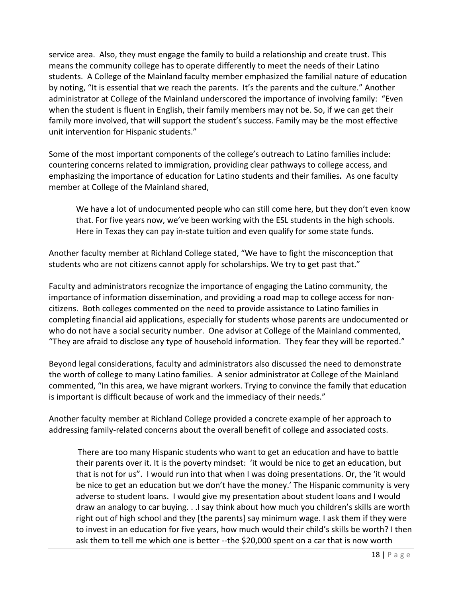service area. Also, they must engage the family to build a relationship and create trust. This means the community college has to operate differently to meet the needs of their Latino students. A College of the Mainland faculty member emphasized the familial nature of education by noting, "It is essential that we reach the parents. It's the parents and the culture." Another administrator at College of the Mainland underscored the importance of involving family: "Even when the student is fluent in English, their family members may not be. So, if we can get their family more involved, that will support the student's success. Family may be the most effective unit intervention for Hispanic students."

Some of the most important components of the college's outreach to Latino families include: countering concerns related to immigration, providing clear pathways to college access, and emphasizing the importance of education for Latino students and their families*.* As one faculty member at College of the Mainland shared,

We have a lot of undocumented people who can still come here, but they don't even know that. For five years now, we've been working with the ESL students in the high schools. Here in Texas they can pay in-state tuition and even qualify for some state funds.

Another faculty member at Richland College stated, "We have to fight the misconception that students who are not citizens cannot apply for scholarships. We try to get past that."

Faculty and administrators recognize the importance of engaging the Latino community, the importance of information dissemination, and providing a road map to college access for noncitizens. Both colleges commented on the need to provide assistance to Latino families in completing financial aid applications, especially for students whose parents are undocumented or who do not have a social security number. One advisor at College of the Mainland commented, "They are afraid to disclose any type of household information. They fear they will be reported."

Beyond legal considerations, faculty and administrators also discussed the need to demonstrate the worth of college to many Latino families. A senior administrator at College of the Mainland commented, "In this area, we have migrant workers. Trying to convince the family that education is important is difficult because of work and the immediacy of their needs."

Another faculty member at Richland College provided a concrete example of her approach to addressing family-related concerns about the overall benefit of college and associated costs.

There are too many Hispanic students who want to get an education and have to battle their parents over it. It is the poverty mindset: 'it would be nice to get an education, but that is not for us". I would run into that when I was doing presentations. Or, the 'it would be nice to get an education but we don't have the money.' The Hispanic community is very adverse to student loans. I would give my presentation about student loans and I would draw an analogy to car buying. . .I say think about how much you children's skills are worth right out of high school and they [the parents] say minimum wage. I ask them if they were to invest in an education for five years, how much would their child's skills be worth? I then ask them to tell me which one is better --the \$20,000 spent on a car that is now worth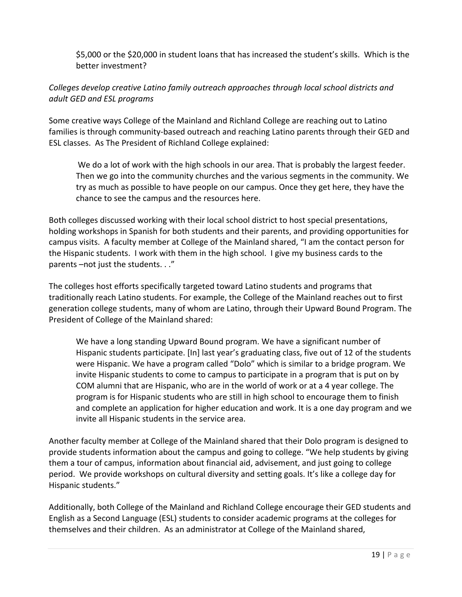\$5,000 or the \$20,000 in student loans that has increased the student's skills. Which is the better investment?

#### *Colleges develop creative Latino family outreach approaches through local school districts and adult GED and ESL programs*

Some creative ways College of the Mainland and Richland College are reaching out to Latino families is through community-based outreach and reaching Latino parents through their GED and ESL classes.As The President of Richland College explained:

We do a lot of work with the high schools in our area. That is probably the largest feeder. Then we go into the community churches and the various segments in the community. We try as much as possible to have people on our campus. Once they get here, they have the chance to see the campus and the resources here.

Both colleges discussed working with their local school district to host special presentations, holding workshops in Spanish for both students and their parents, and providing opportunities for campus visits. A faculty member at College of the Mainland shared, "I am the contact person for the Hispanic students. I work with them in the high school. I give my business cards to the parents –not just the students. . ."

The colleges host efforts specifically targeted toward Latino students and programs that traditionally reach Latino students. For example, the College of the Mainland reaches out to first generation college students, many of whom are Latino, through their Upward Bound Program. The President of College of the Mainland shared:

We have a long standing Upward Bound program. We have a significant number of Hispanic students participate. [In] last year's graduating class, five out of 12 of the students were Hispanic. We have a program called "Dolo" which is similar to a bridge program. We invite Hispanic students to come to campus to participate in a program that is put on by COM alumni that are Hispanic, who are in the world of work or at a 4 year college. The program is for Hispanic students who are still in high school to encourage them to finish and complete an application for higher education and work. It is a one day program and we invite all Hispanic students in the service area.

Another faculty member at College of the Mainland shared that their Dolo program is designed to provide students information about the campus and going to college. "We help students by giving them a tour of campus, information about financial aid, advisement, and just going to college period. We provide workshops on cultural diversity and setting goals. It's like a college day for Hispanic students."

Additionally, both College of the Mainland and Richland College encourage their GED students and English as a Second Language (ESL) students to consider academic programs at the colleges for themselves and their children. As an administrator at College of the Mainland shared,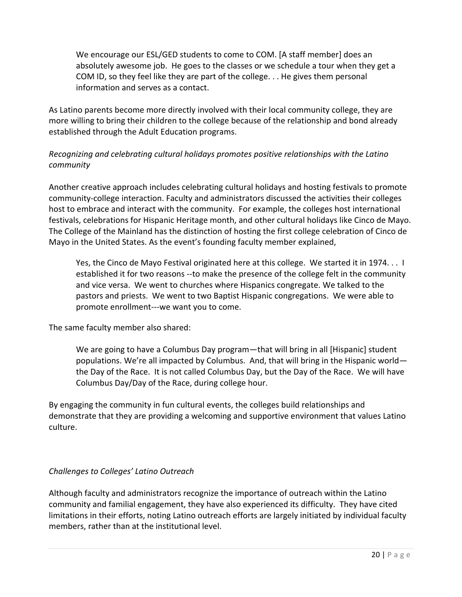We encourage our ESL/GED students to come to COM. [A staff member] does an absolutely awesome job. He goes to the classes or we schedule a tour when they get a COM ID, so they feel like they are part of the college. . . He gives them personal information and serves as a contact.

As Latino parents become more directly involved with their local community college, they are more willing to bring their children to the college because of the relationship and bond already established through the Adult Education programs.

#### *Recognizing and celebrating cultural holidays promotes positive relationships with the Latino community*

Another creative approach includes celebrating cultural holidays and hosting festivals to promote community-college interaction. Faculty and administrators discussed the activities their colleges host to embrace and interact with the community. For example, the colleges host international festivals, celebrations for Hispanic Heritage month, and other cultural holidays like Cinco de Mayo. The College of the Mainland has the distinction of hosting the first college celebration of Cinco de Mayo in the United States. As the event's founding faculty member explained,

Yes, the Cinco de Mayo Festival originated here at this college. We started it in 1974... I established it for two reasons --to make the presence of the college felt in the community and vice versa. We went to churches where Hispanics congregate. We talked to the pastors and priests. We went to two Baptist Hispanic congregations. We were able to promote enrollment---we want you to come.

The same faculty member also shared:

We are going to have a Columbus Day program—that will bring in all [Hispanic] student populations. We're all impacted by Columbus. And, that will bring in the Hispanic world the Day of the Race. It is not called Columbus Day, but the Day of the Race. We will have Columbus Day/Day of the Race, during college hour.

By engaging the community in fun cultural events, the colleges build relationships and demonstrate that they are providing a welcoming and supportive environment that values Latino culture.

#### *Challenges to Colleges' Latino Outreach*

Although faculty and administrators recognize the importance of outreach within the Latino community and familial engagement, they have also experienced its difficulty.They have cited limitations in their efforts, noting Latino outreach efforts are largely initiated by individual faculty members, rather than at the institutional level.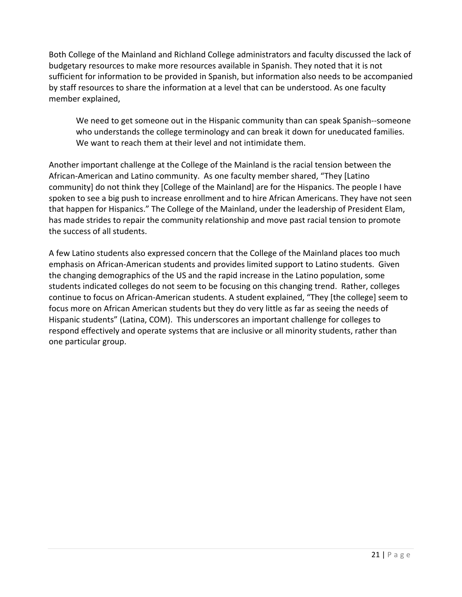Both College of the Mainland and Richland College administrators and faculty discussed the lack of budgetary resources to make more resources available in Spanish. They noted that it is not sufficient for information to be provided in Spanish, but information also needs to be accompanied by staff resources to share the information at a level that can be understood. As one faculty member explained,

We need to get someone out in the Hispanic community than can speak Spanish--someone who understands the college terminology and can break it down for uneducated families. We want to reach them at their level and not intimidate them.

Another important challenge at the College of the Mainland is the racial tension between the African-American and Latino community. As one faculty member shared, "They [Latino community] do not think they [College of the Mainland] are for the Hispanics. The people I have spoken to see a big push to increase enrollment and to hire African Americans. They have not seen that happen for Hispanics." The College of the Mainland, under the leadership of President Elam, has made strides to repair the community relationship and move past racial tension to promote the success of all students.

A few Latino students also expressed concern that the College of the Mainland places too much emphasis on African-American students and provides limited support to Latino students. Given the changing demographics of the US and the rapid increase in the Latino population, some students indicated colleges do not seem to be focusing on this changing trend. Rather, colleges continue to focus on African-American students. A student explained, "They [the college] seem to focus more on African American students but they do very little as far as seeing the needs of Hispanic students" (Latina, COM). This underscores an important challenge for colleges to respond effectively and operate systems that are inclusive or all minority students, rather than one particular group.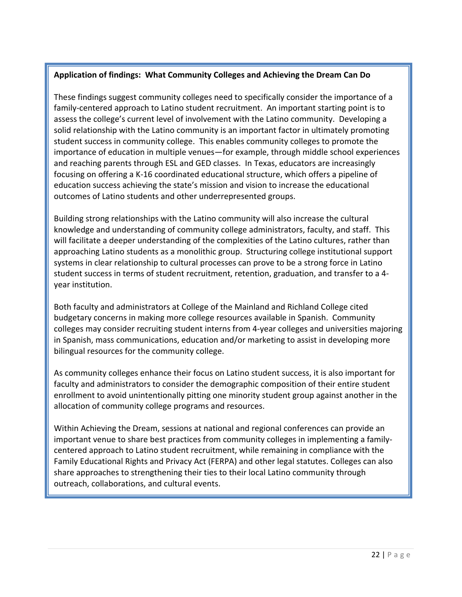#### **Application of findings: What Community Colleges and Achieving the Dream Can Do**

These findings suggest community colleges need to specifically consider the importance of a family-centered approach to Latino student recruitment. An important starting point is to assess the college's current level of involvement with the Latino community. Developing a solid relationship with the Latino community is an important factor in ultimately promoting student success in community college. This enables community colleges to promote the importance of education in multiple venues—for example, through middle school experiences and reaching parents through ESL and GED classes. In Texas, educators are increasingly focusing on offering a K-16 coordinated educational structure, which offers a pipeline of education success achieving the state's mission and vision to increase the educational outcomes of Latino students and other underrepresented groups.

Building strong relationships with the Latino community will also increase the cultural knowledge and understanding of community college administrators, faculty, and staff. This will facilitate a deeper understanding of the complexities of the Latino cultures, rather than approaching Latino students as a monolithic group. Structuring college institutional support systems in clear relationship to cultural processes can prove to be a strong force in Latino student success in terms of student recruitment, retention, graduation, and transfer to a 4 year institution.

Both faculty and administrators at College of the Mainland and Richland College cited budgetary concerns in making more college resources available in Spanish. Community colleges may consider recruiting student interns from 4-year colleges and universities majoring in Spanish, mass communications, education and/or marketing to assist in developing more bilingual resources for the community college.

As community colleges enhance their focus on Latino student success, it is also important for faculty and administrators to consider the demographic composition of their entire student enrollment to avoid unintentionally pitting one minority student group against another in the allocation of community college programs and resources.

Within Achieving the Dream, sessions at national and regional conferences can provide an important venue to share best practices from community colleges in implementing a familycentered approach to Latino student recruitment, while remaining in compliance with the Family Educational Rights and Privacy Act (FERPA) and other legal statutes. Colleges can also share approaches to strengthening their ties to their local Latino community through outreach, collaborations, and cultural events.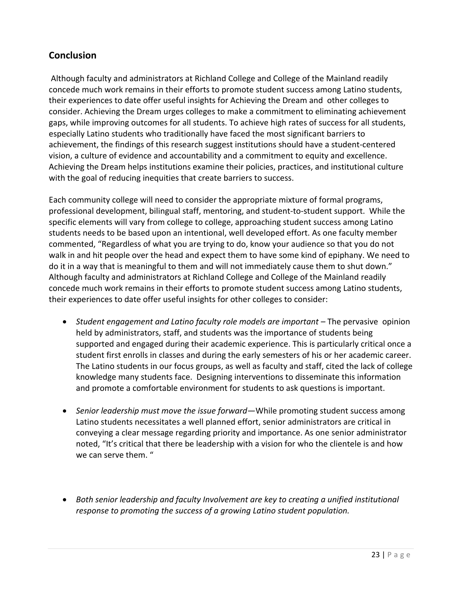# **Conclusion**

Although faculty and administrators at Richland College and College of the Mainland readily concede much work remains in their efforts to promote student success among Latino students, their experiences to date offer useful insights for Achieving the Dream and other colleges to consider. Achieving the Dream urges colleges to make a commitment to eliminating achievement gaps, while improving outcomes for all students. To achieve high rates of success for all students, especially Latino students who traditionally have faced the most significant barriers to achievement, the findings of this research suggest institutions should have a student-centered vision, a culture of evidence and accountability and a commitment to equity and excellence. Achieving the Dream helps institutions examine their policies, practices, and institutional culture with the goal of reducing inequities that create barriers to success.

Each community college will need to consider the appropriate mixture of formal programs, professional development, bilingual staff, mentoring, and student-to-student support. While the specific elements will vary from college to college, approaching student success among Latino students needs to be based upon an intentional, well developed effort. As one faculty member commented, "Regardless of what you are trying to do, know your audience so that you do not walk in and hit people over the head and expect them to have some kind of epiphany. We need to do it in a way that is meaningful to them and will not immediately cause them to shut down." Although faculty and administrators at Richland College and College of the Mainland readily concede much work remains in their efforts to promote student success among Latino students, their experiences to date offer useful insights for other colleges to consider:

- Student engagement and Latino faculty role models are important The pervasive opinion held by administrators, staff, and students was the importance of students being supported and engaged during their academic experience. This is particularly critical once a student first enrolls in classes and during the early semesters of his or her academic career. The Latino students in our focus groups, as well as faculty and staff, cited the lack of college knowledge many students face. Designing interventions to disseminate this information and promote a comfortable environment for students to ask questions is important.
- *Senior leadership must move the issue forward—*While promoting student success among Latino students necessitates a well planned effort, senior administrators are critical in conveying a clear message regarding priority and importance. As one senior administrator noted, "It's critical that there be leadership with a vision for who the clientele is and how we can serve them. "
- *Both senior leadership and faculty Involvement are key to creating a unified institutional response to promoting the success of a growing Latino student population.*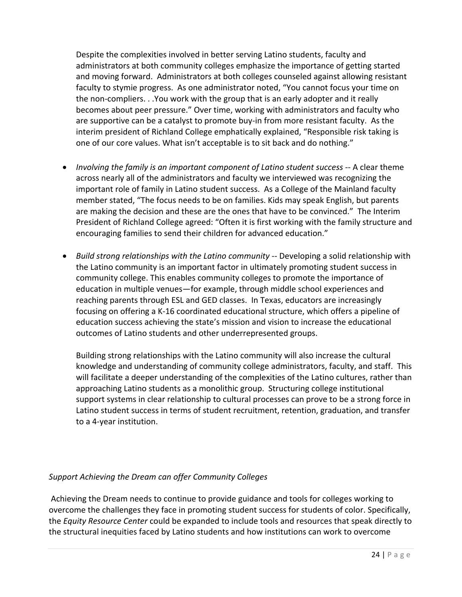Despite the complexities involved in better serving Latino students, faculty and administrators at both community colleges emphasize the importance of getting started and moving forward. Administrators at both colleges counseled against allowing resistant faculty to stymie progress. As one administrator noted, "You cannot focus your time on the non-compliers. . .You work with the group that is an early adopter and it really becomes about peer pressure." Over time, working with administrators and faculty who are supportive can be a catalyst to promote buy-in from more resistant faculty. As the interim president of Richland College emphatically explained, "Responsible risk taking is one of our core values. What isn't acceptable is to sit back and do nothing."

- *Involving the family is an important component of Latino student success* -- A clear theme across nearly all of the administrators and faculty we interviewed was recognizing the important role of family in Latino student success. As a College of the Mainland faculty member stated, "The focus needs to be on families. Kids may speak English, but parents are making the decision and these are the ones that have to be convinced." The Interim President of Richland College agreed: "Often it is first working with the family structure and encouraging families to send their children for advanced education."
- *Build strong relationships with the Latino community* -- Developing a solid relationship with the Latino community is an important factor in ultimately promoting student success in community college. This enables community colleges to promote the importance of education in multiple venues—for example, through middle school experiences and reaching parents through ESL and GED classes. In Texas, educators are increasingly focusing on offering a K-16 coordinated educational structure, which offers a pipeline of education success achieving the state's mission and vision to increase the educational outcomes of Latino students and other underrepresented groups.

Building strong relationships with the Latino community will also increase the cultural knowledge and understanding of community college administrators, faculty, and staff. This will facilitate a deeper understanding of the complexities of the Latino cultures, rather than approaching Latino students as a monolithic group. Structuring college institutional support systems in clear relationship to cultural processes can prove to be a strong force in Latino student success in terms of student recruitment, retention, graduation, and transfer to a 4-year institution.

#### *Support Achieving the Dream can offer Community Colleges*

Achieving the Dream needs to continue to provide guidance and tools for colleges working to overcome the challenges they face in promoting student success for students of color. Specifically, the *Equity Resource Center* could be expanded to include tools and resources that speak directly to the structural inequities faced by Latino students and how institutions can work to overcome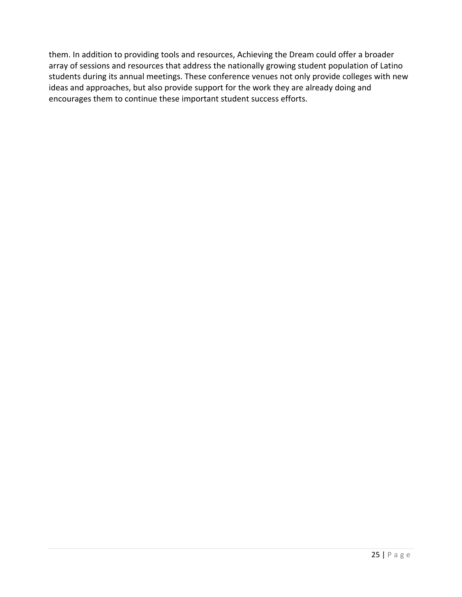them. In addition to providing tools and resources, Achieving the Dream could offer a broader array of sessions and resources that address the nationally growing student population of Latino students during its annual meetings. These conference venues not only provide colleges with new ideas and approaches, but also provide support for the work they are already doing and encourages them to continue these important student success efforts.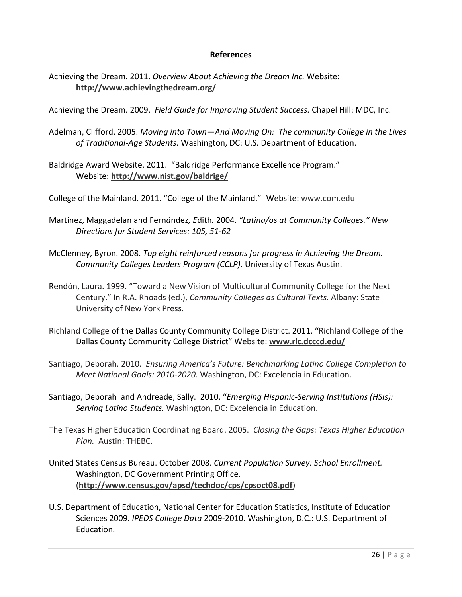#### **References**

Achieving the Dream. 2011. *Overview About Achieving the Dream Inc.* Website: **<http://www.achievingthedream.org/>**

Achieving the Dream. 2009. *Field Guide for Improving Student Success.* Chapel Hill: MDC, Inc.

- Adelman, Clifford. 2005. *Moving into Town—And Moving On: The community College in the Lives of Traditional-Age Students.* Washington, DC: U.S. Department of Education.
- Baldridge Award Website. 2011. "Baldridge Performance Excellence Program." Website: **<http://www.nist.gov/baldrige/>**
- College of the Mainland. 2011. "College of the Mainland." Website: [www.com.edu](http://www.com.edu/)
- Martinez, Maggadelan and Fern*á*ndez*, E*dith*.* 2004. *"Latina/os at Community Colleges." New Directions for Student Services: 105, 51-62*
- McClenney, Byron. 2008. *Top eight reinforced reasons for progress in Achieving the Dream. Community Colleges Leaders Program (CCLP).* University of Texas Austin.
- Rendón, Laura. 1999. "Toward a New Vision of Multicultural Community College for the Next Century." In R.A. Rhoads (ed.), *Community Colleges as Cultural Texts.* Albany: State University of New York Press.
- Richland College of the Dallas County Community College District. 2011. "Richland College of the Dallas County Community College District" Website: **[www.rlc.dcccd.edu/](http://www.rlc.dcccd.edu/)**
- Santiago, Deborah. 2010. *Ensuring America's Future: Benchmarking Latino College Completion to Meet National Goals: 2010-2020.* Washington, DC: Excelencia in Education.
- Santiago, Deborah and Andreade, Sally. 2010. "*Emerging Hispanic-Serving Institutions (HSIs): Serving Latino Students.* Washington, DC: Excelencia in Education.
- The Texas Higher Education Coordinating Board. 2005. *Closing the Gaps: Texas Higher Education Plan.* Austin: THEBC.
- United States Census Bureau. October 2008. *Current Population Survey: School Enrollment.* Washington, DC Government Printing Office. (**<http://www.census.gov/apsd/techdoc/cps/cpsoct08.pdf>**)
- U.S. Department of Education, National Center for Education Statistics, Institute of Education Sciences 2009. *IPEDS College Data* 2009-2010. Washington, D.C.: U.S. Department of Education.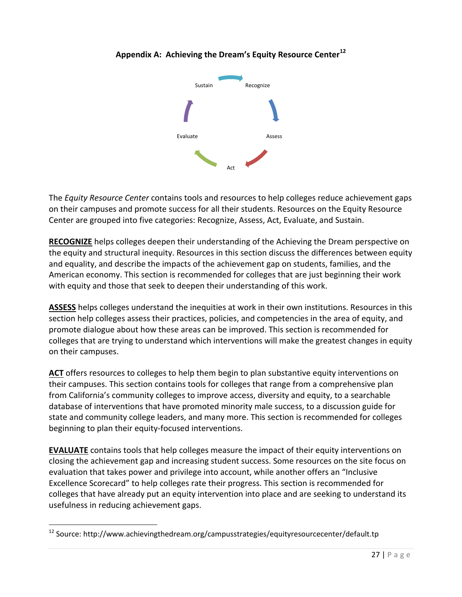

# **Appendix A: Achieving the Dream's Equity Resource Center<sup>12</sup>**

The *Equity Resource Center* contains tools and resources to help colleges reduce achievement gaps on their campuses and promote success for all their students. Resources on the Equity Resource Center are grouped into five categories: Recognize, Assess, Act, Evaluate, and Sustain.

**[RECOGNIZE](http://www.achievingthedream.org/aboutatd/EQUITYRESOURCECENTER/recognize.tp)** helps colleges deepen their understanding of the Achieving the Dream perspective on the equity and structural inequity. Resources in this section discuss the differences between equity and equality, and describe the impacts of the achievement gap on students, families, and the American economy. This section is recommended for colleges that are just beginning their work with equity and those that seek to deepen their understanding of this work.

**[ASSESS](http://www.achievingthedream.org/aboutatd/EQUITYRESOURCECENTER/assess.tp)** helps colleges understand the inequities at work in their own institutions. Resources in this section help colleges assess their practices, policies, and competencies in the area of equity, and promote dialogue about how these areas can be improved. This section is recommended for colleges that are trying to understand which interventions will make the greatest changes in equity on their campuses.

[ACT](http://www.achievingthedream.org/aboutatd/EQUITYRESOURCECENTER/act.tp) offers resources to colleges to help them begin to plan substantive equity interventions on their campuses. This section contains tools for colleges that range from a comprehensive plan from California's community colleges to improve access, diversity and equity, to a searchable database of interventions that have promoted minority male success, to a discussion guide for state and community college leaders, and many more. This section is recommended for colleges beginning to plan their equity-focused interventions.

**[EVALUATE](http://www.achievingthedream.org/aboutatd/EQUITYRESOURCECENTER/evaluate.tp)** contains tools that help colleges measure the impact of their equity interventions on closing the achievement gap and increasing student success. Some resources on the site focus on evaluation that takes power and privilege into account, while another offers an "Inclusive Excellence Scorecard" to help colleges rate their progress. This section is recommended for colleges that have already put an equity intervention into place and are seeking to understand its usefulness in reducing achievement gaps.

 $\overline{a}$ 

<sup>&</sup>lt;sup>12</sup> Source: http://www.achievingthedream.org/campusstrategies/equityresourcecenter/default.tp